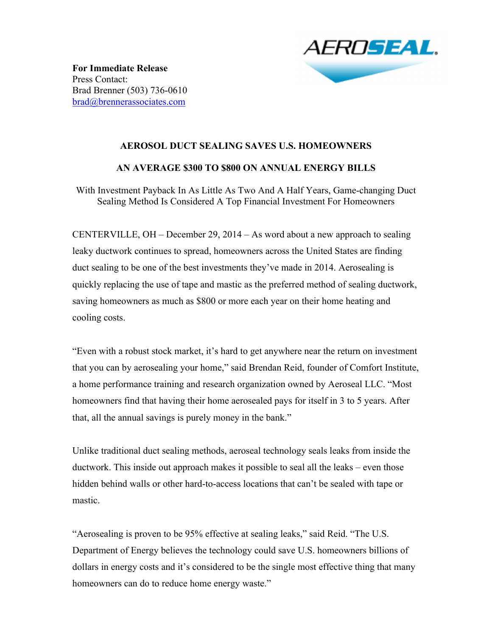

**For Immediate Release** Press Contact: Brad Brenner (503) 736-0610 brad@brennerassociates.com

## **AEROSOL DUCT SEALING SAVES U.S. HOMEOWNERS**

## **AN AVERAGE \$300 TO \$800 ON ANNUAL ENERGY BILLS**

With Investment Payback In As Little As Two And A Half Years, Game-changing Duct Sealing Method Is Considered A Top Financial Investment For Homeowners

CENTERVILLE, OH – December 29, 2014 – As word about a new approach to sealing leaky ductwork continues to spread, homeowners across the United States are finding duct sealing to be one of the best investments they've made in 2014. Aerosealing is quickly replacing the use of tape and mastic as the preferred method of sealing ductwork, saving homeowners as much as \$800 or more each year on their home heating and cooling costs.

"Even with a robust stock market, it's hard to get anywhere near the return on investment that you can by aerosealing your home," said Brendan Reid, founder of Comfort Institute, a home performance training and research organization owned by Aeroseal LLC. "Most homeowners find that having their home aerosealed pays for itself in 3 to 5 years. After that, all the annual savings is purely money in the bank."

Unlike traditional duct sealing methods, aeroseal technology seals leaks from inside the ductwork. This inside out approach makes it possible to seal all the leaks – even those hidden behind walls or other hard-to-access locations that can't be sealed with tape or mastic.

"Aerosealing is proven to be 95% effective at sealing leaks," said Reid. "The U.S. Department of Energy believes the technology could save U.S. homeowners billions of dollars in energy costs and it's considered to be the single most effective thing that many homeowners can do to reduce home energy waste."